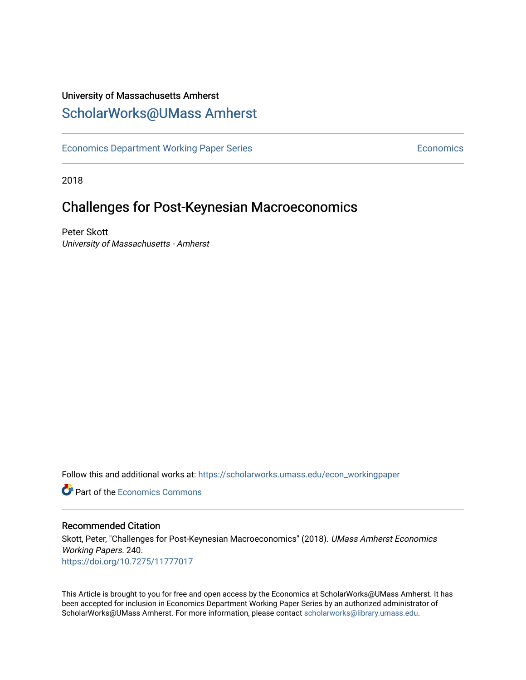### University of Massachusetts Amherst [ScholarWorks@UMass Amherst](https://scholarworks.umass.edu/)

[Economics Department Working Paper Series](https://scholarworks.umass.edu/econ_workingpaper) **Economics** Economics

2018

## Challenges for Post-Keynesian Macroeconomics

Peter Skott University of Massachusetts - Amherst

Follow this and additional works at: [https://scholarworks.umass.edu/econ\\_workingpaper](https://scholarworks.umass.edu/econ_workingpaper?utm_source=scholarworks.umass.edu%2Fecon_workingpaper%2F240&utm_medium=PDF&utm_campaign=PDFCoverPages) 

**C** Part of the [Economics Commons](http://network.bepress.com/hgg/discipline/340?utm_source=scholarworks.umass.edu%2Fecon_workingpaper%2F240&utm_medium=PDF&utm_campaign=PDFCoverPages)

#### Recommended Citation

Skott, Peter, "Challenges for Post-Keynesian Macroeconomics" (2018). UMass Amherst Economics Working Papers. 240. <https://doi.org/10.7275/11777017>

This Article is brought to you for free and open access by the Economics at ScholarWorks@UMass Amherst. It has been accepted for inclusion in Economics Department Working Paper Series by an authorized administrator of ScholarWorks@UMass Amherst. For more information, please contact [scholarworks@library.umass.edu.](mailto:scholarworks@library.umass.edu)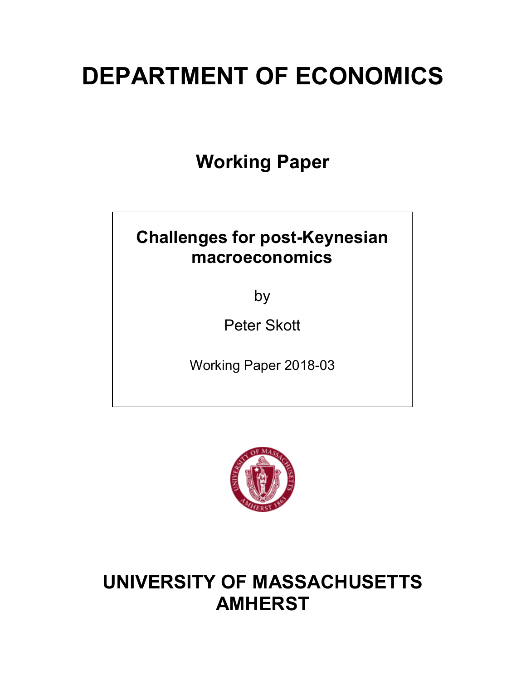# **DEPARTMENT OF ECONOMICS**

**Working Paper**

## **Challenges for post-Keynesian macroeconomics**

by

Peter Skott

Working Paper 2018-03



## **UNIVERSITY OF MASSACHUSETTS AMHERST**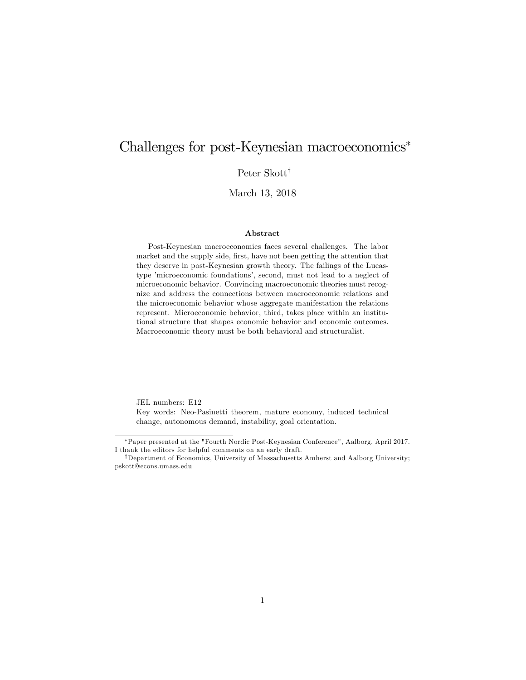### Challenges for post-Keynesian macroeconomics<sup>\*</sup>

Peter Skott<sup>†</sup>

March 13, 2018

#### Abstract

Post-Keynesian macroeconomics faces several challenges. The labor market and the supply side, first, have not been getting the attention that they deserve in post-Keynesian growth theory. The failings of the Lucastype 'microeconomic foundations', second, must not lead to a neglect of microeconomic behavior. Convincing macroeconomic theories must recognize and address the connections between macroeconomic relations and the microeconomic behavior whose aggregate manifestation the relations represent. Microeconomic behavior, third, takes place within an institutional structure that shapes economic behavior and economic outcomes. Macroeconomic theory must be both behavioral and structuralist.

JEL numbers: E12

Key words: Neo-Pasinetti theorem, mature economy, induced technical change, autonomous demand, instability, goal orientation.

!Paper presented at the "Fourth Nordic Post-Keynesian Conference", Aalborg, April 2017. I thank the editors for helpful comments on an early draft.

<sup>&</sup>lt;sup>†</sup>Department of Economics, University of Massachusetts Amherst and Aalborg University; pskott@econs.umass.edu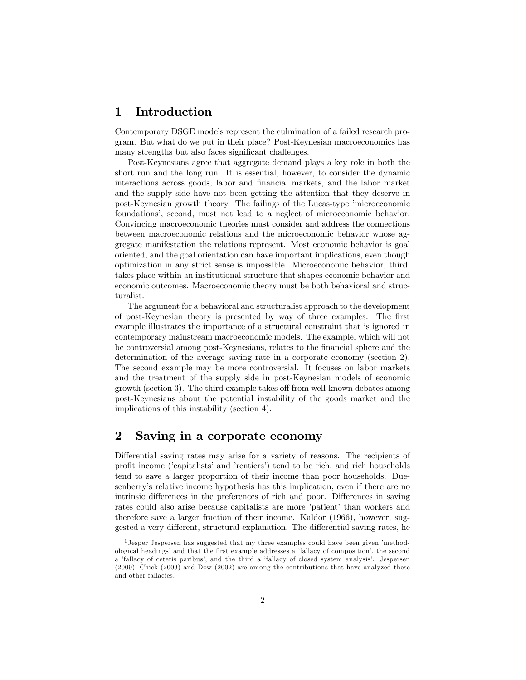#### 1 Introduction

Contemporary DSGE models represent the culmination of a failed research program. But what do we put in their place? Post-Keynesian macroeconomics has many strengths but also faces significant challenges.

Post-Keynesians agree that aggregate demand plays a key role in both the short run and the long run. It is essential, however, to consider the dynamic interactions across goods, labor and Önancial markets, and the labor market and the supply side have not been getting the attention that they deserve in post-Keynesian growth theory. The failings of the Lucas-type 'microeconomic foundations', second, must not lead to a neglect of microeconomic behavior. Convincing macroeconomic theories must consider and address the connections between macroeconomic relations and the microeconomic behavior whose aggregate manifestation the relations represent. Most economic behavior is goal oriented, and the goal orientation can have important implications, even though optimization in any strict sense is impossible. Microeconomic behavior, third, takes place within an institutional structure that shapes economic behavior and economic outcomes. Macroeconomic theory must be both behavioral and structuralist.

The argument for a behavioral and structuralist approach to the development of post-Keynesian theory is presented by way of three examples. The first example illustrates the importance of a structural constraint that is ignored in contemporary mainstream macroeconomic models. The example, which will not be controversial among post-Keynesians, relates to the Önancial sphere and the determination of the average saving rate in a corporate economy (section 2). The second example may be more controversial. It focuses on labor markets and the treatment of the supply side in post-Keynesian models of economic growth (section 3). The third example takes off from well-known debates among post-Keynesians about the potential instability of the goods market and the implications of this instability (section  $4$ ).<sup>1</sup>

#### 2 Saving in a corporate economy

Differential saving rates may arise for a variety of reasons. The recipients of profit income ('capitalists' and 'rentiers') tend to be rich, and rich households tend to save a larger proportion of their income than poor households. Duesenberryís relative income hypothesis has this implication, even if there are no intrinsic differences in the preferences of rich and poor. Differences in saving rates could also arise because capitalists are more 'patient' than workers and therefore save a larger fraction of their income. Kaldor (1966), however, suggested a very different, structural explanation. The differential saving rates, he

 $<sup>1</sup>$  Jesper Jespersen has suggested that my three examples could have been given 'method-</sup> ological headings' and that the first example addresses a 'fallacy of composition', the second a 'fallacy of ceteris paribus', and the third a 'fallacy of closed system analysis'. Jespersen (2009), Chick (2003) and Dow (2002) are among the contributions that have analyzed these and other fallacies.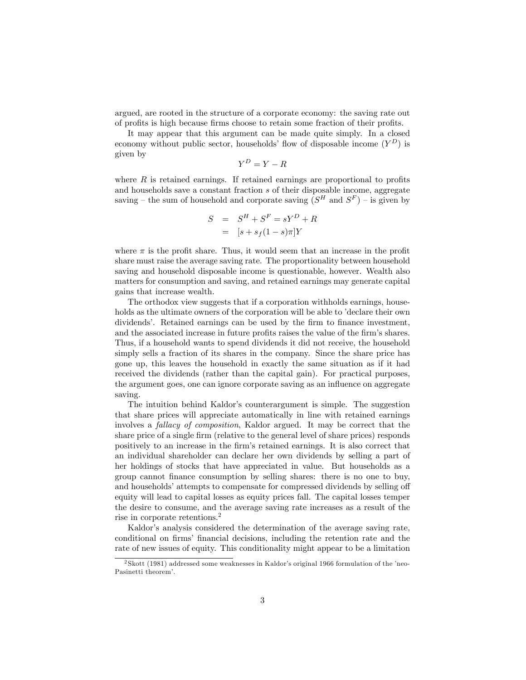argued, are rooted in the structure of a corporate economy: the saving rate out of profits is high because firms choose to retain some fraction of their profits.

It may appear that this argument can be made quite simply. In a closed economy without public sector, households' flow of disposable income  $(Y^D)$  is given by

$$
Y^D = Y - R
$$

where  $R$  is retained earnings. If retained earnings are proportional to profits and households save a constant fraction s of their disposable income, aggregate saving – the sum of household and corporate saving  $(S^H \text{ and } S^F)$  – is given by

$$
S = SH + SF = sYD + R
$$

$$
= [s + sf(1 - s)\pi]Y
$$

where  $\pi$  is the profit share. Thus, it would seem that an increase in the profit share must raise the average saving rate. The proportionality between household saving and household disposable income is questionable, however. Wealth also matters for consumption and saving, and retained earnings may generate capital gains that increase wealth.

The orthodox view suggests that if a corporation withholds earnings, households as the ultimate owners of the corporation will be able to 'declare their own dividends<sup>7</sup>. Retained earnings can be used by the firm to finance investment, and the associated increase in future profits raises the value of the firm's shares. Thus, if a household wants to spend dividends it did not receive, the household simply sells a fraction of its shares in the company. Since the share price has gone up, this leaves the household in exactly the same situation as if it had received the dividends (rather than the capital gain). For practical purposes, the argument goes, one can ignore corporate saving as an influence on aggregate saving.

The intuition behind Kaldor's counterargument is simple. The suggestion that share prices will appreciate automatically in line with retained earnings involves a fallacy of composition, Kaldor argued. It may be correct that the share price of a single firm (relative to the general level of share prices) responds positively to an increase in the Örmís retained earnings. It is also correct that an individual shareholder can declare her own dividends by selling a part of her holdings of stocks that have appreciated in value. But households as a group cannot Önance consumption by selling shares: there is no one to buy, and households' attempts to compensate for compressed dividends by selling off equity will lead to capital losses as equity prices fall. The capital losses temper the desire to consume, and the average saving rate increases as a result of the rise in corporate retentions.<sup>2</sup>

Kaldor's analysis considered the determination of the average saving rate, conditional on firms' financial decisions, including the retention rate and the rate of new issues of equity. This conditionality might appear to be a limitation

 $\overline{^{2}$ Skott (1981) addressed some weaknesses in Kaldor's original 1966 formulation of the 'neo-Pasinetti theorem'.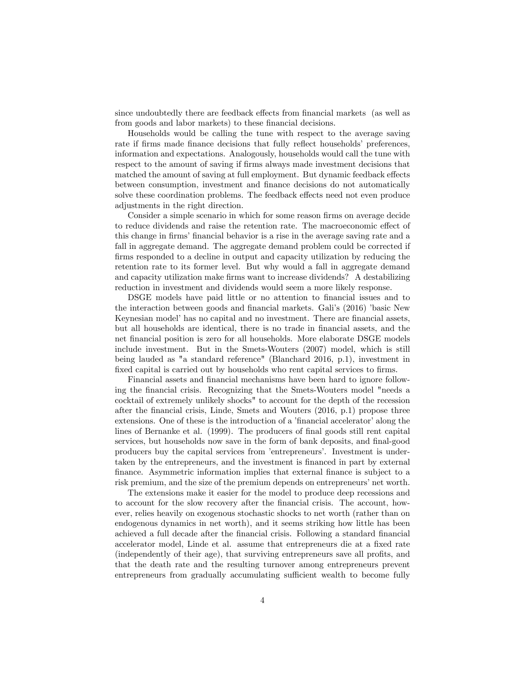since undoubtedly there are feedback effects from financial markets (as well as from goods and labor markets) to these financial decisions.

Households would be calling the tune with respect to the average saving rate if firms made finance decisions that fully reflect households' preferences, information and expectations. Analogously, households would call the tune with respect to the amount of saving if firms always made investment decisions that matched the amount of saving at full employment. But dynamic feedback effects between consumption, investment and finance decisions do not automatically solve these coordination problems. The feedback effects need not even produce adjustments in the right direction.

Consider a simple scenario in which for some reason firms on average decide to reduce dividends and raise the retention rate. The macroeconomic effect of this change in firms' financial behavior is a rise in the average saving rate and a fall in aggregate demand. The aggregate demand problem could be corrected if firms responded to a decline in output and capacity utilization by reducing the retention rate to its former level. But why would a fall in aggregate demand and capacity utilization make firms want to increase dividends? A destabilizing reduction in investment and dividends would seem a more likely response.

DSGE models have paid little or no attention to financial issues and to the interaction between goods and financial markets. Gali's (2016) 'basic New Keynesian model' has no capital and no investment. There are financial assets, but all households are identical, there is no trade in financial assets, and the net financial position is zero for all households. More elaborate DSGE models include investment. But in the Smets-Wouters (2007) model, which is still being lauded as "a standard reference" (Blanchard 2016, p.1), investment in fixed capital is carried out by households who rent capital services to firms.

Financial assets and financial mechanisms have been hard to ignore following the Önancial crisis. Recognizing that the Smets-Wouters model "needs a cocktail of extremely unlikely shocks" to account for the depth of the recession after the financial crisis, Linde, Smets and Wouters (2016, p.1) propose three extensions. One of these is the introduction of a 'financial accelerator' along the lines of Bernanke et al. (1999). The producers of final goods still rent capital services, but households now save in the form of bank deposits, and final-good producers buy the capital services from íentrepreneursí. Investment is undertaken by the entrepreneurs, and the investment is financed in part by external finance. Asymmetric information implies that external finance is subject to a risk premium, and the size of the premium depends on entrepreneurs' net worth.

The extensions make it easier for the model to produce deep recessions and to account for the slow recovery after the Önancial crisis. The account, however, relies heavily on exogenous stochastic shocks to net worth (rather than on endogenous dynamics in net worth), and it seems striking how little has been achieved a full decade after the Önancial crisis. Following a standard Önancial accelerator model, Linde et al. assume that entrepreneurs die at a fixed rate (independently of their age), that surviving entrepreneurs save all profits, and that the death rate and the resulting turnover among entrepreneurs prevent entrepreneurs from gradually accumulating sufficient wealth to become fully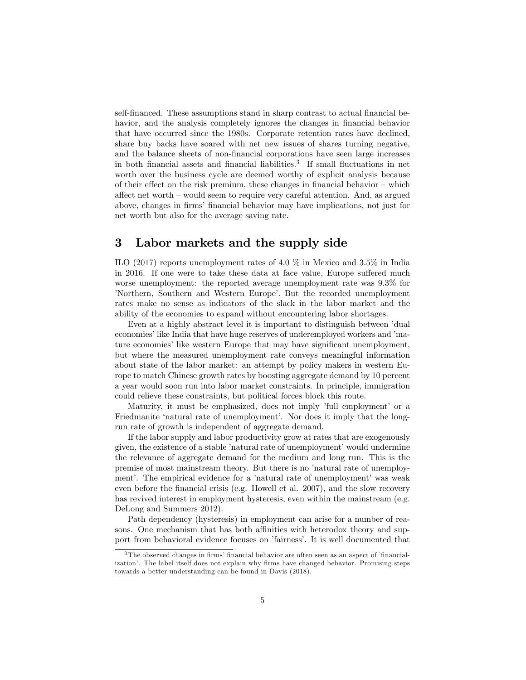self-financed. These assumptions stand in sharp contrast to actual financial behavior, and the analysis completely ignores the changes in financial behavior that have occurred since the 1980s. Corporate retention rates have declined, share buy backs have soared with net new issues of shares turning negative, and the balance sheets of non-Önancial corporations have seen large increases in both financial assets and financial liabilities.<sup>3</sup> If small fluctuations in net worth over the business cycle are deemed worthy of explicit analysis because of their effect on the risk premium, these changes in financial behavior  $-$  which affect net worth  $-$  would seem to require very careful attention. And, as argued above, changes in Örmsí Önancial behavior may have implications, not just for net worth but also for the average saving rate.

#### 3 Labor markets and the supply side

ILO (2017) reports unemployment rates of 4.0 % in Mexico and 3.5% in India in 2016. If one were to take these data at face value, Europe suffered much worse unemployment: the reported average unemployment rate was 9.3% for 'Northern, Southern and Western Europe'. But the recorded unemployment rates make no sense as indicators of the slack in the labor market and the ability of the economies to expand without encountering labor shortages.

Even at a highly abstract level it is important to distinguish between 'dual economies' like India that have huge reserves of underemployed workers and 'mature economies' like western Europe that may have significant unemployment, but where the measured unemployment rate conveys meaningful information about state of the labor market: an attempt by policy makers in western Europe to match Chinese growth rates by boosting aggregate demand by 10 percent a year would soon run into labor market constraints. In principle, immigration could relieve these constraints, but political forces block this route.

Maturity, it must be emphasized, does not imply 'full employment' or a Friedmanite 'natural rate of unemployment'. Nor does it imply that the longrun rate of growth is independent of aggregate demand.

If the labor supply and labor productivity grow at rates that are exogenously given, the existence of a stable 'natural rate of unemployment' would undermine the relevance of aggregate demand for the medium and long run. This is the premise of most mainstream theory. But there is no 'natural rate of unemployment'. The empirical evidence for a 'natural rate of unemployment' was weak even before the financial crisis (e.g. Howell et al. 2007), and the slow recovery has revived interest in employment hysteresis, even within the mainstream (e.g. DeLong and Summers 2012).

Path dependency (hysteresis) in employment can arise for a number of reasons. One mechanism that has both affinities with heterodox theory and support from behavioral evidence focuses on 'fairness'. It is well documented that

 $3$ The observed changes in firms' financial behavior are often seen as an aspect of 'financialization<sup>7</sup>. The label itself does not explain why firms have changed behavior. Promising steps towards a better understanding can be found in Davis (2018).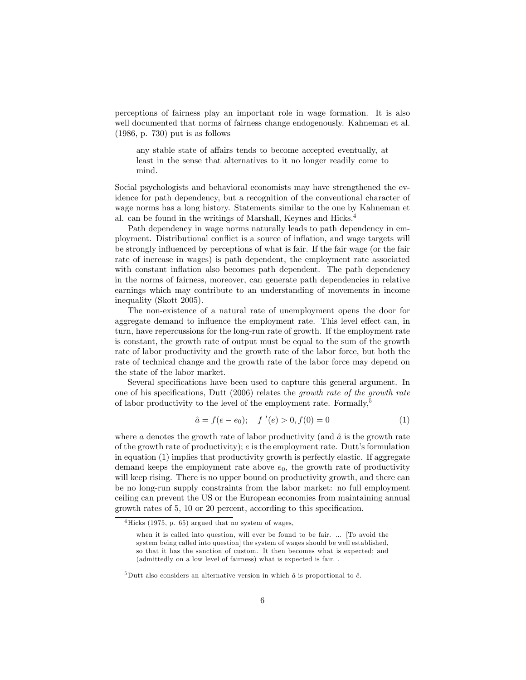perceptions of fairness play an important role in wage formation. It is also well documented that norms of fairness change endogenously. Kahneman et al. (1986, p. 730) put is as follows

any stable state of affairs tends to become accepted eventually, at least in the sense that alternatives to it no longer readily come to mind.

Social psychologists and behavioral economists may have strengthened the evidence for path dependency, but a recognition of the conventional character of wage norms has a long history. Statements similar to the one by Kahneman et al. can be found in the writings of Marshall, Keynes and Hicks.4

Path dependency in wage norms naturally leads to path dependency in employment. Distributional conflict is a source of inflation, and wage targets will be strongly influenced by perceptions of what is fair. If the fair wage (or the fair rate of increase in wages) is path dependent, the employment rate associated with constant inflation also becomes path dependent. The path dependency in the norms of fairness, moreover, can generate path dependencies in relative earnings which may contribute to an understanding of movements in income inequality (Skott 2005).

The non-existence of a natural rate of unemployment opens the door for aggregate demand to influence the employment rate. This level effect can, in turn, have repercussions for the long-run rate of growth. If the employment rate is constant, the growth rate of output must be equal to the sum of the growth rate of labor productivity and the growth rate of the labor force, but both the rate of technical change and the growth rate of the labor force may depend on the state of the labor market.

Several specifications have been used to capture this general argument. In one of his specifications, Dutt  $(2006)$  relates the growth rate of the growth rate of labor productivity to the level of the employment rate. Formally,<sup>5</sup>

$$
\hat{a} = f(e - e_0); \quad f'(e) > 0, f(0) = 0 \tag{1}
$$

where a denotes the growth rate of labor productivity (and  $\hat{a}$  is the growth rate of the growth rate of productivity);  $e$  is the employment rate. Dutt's formulation in equation (1) implies that productivity growth is perfectly elastic. If aggregate demand keeps the employment rate above  $e_0$ , the growth rate of productivity will keep rising. There is no upper bound on productivity growth, and there can be no long-run supply constraints from the labor market: no full employment ceiling can prevent the US or the European economies from maintaining annual growth rates of  $5, 10$  or  $20$  percent, according to this specification.

 $4$ Hicks (1975, p. 65) argued that no system of wages,

when it is called into question, will ever be found to be fair. ... [To avoid the system being called into question] the system of wages should be well established, so that it has the sanction of custom. It then becomes what is expected; and (admittedly on a low level of fairness) what is expected is fair. .

 $5$ Dutt also considers an alternative version in which  $\hat{a}$  is proportional to  $\hat{e}$ .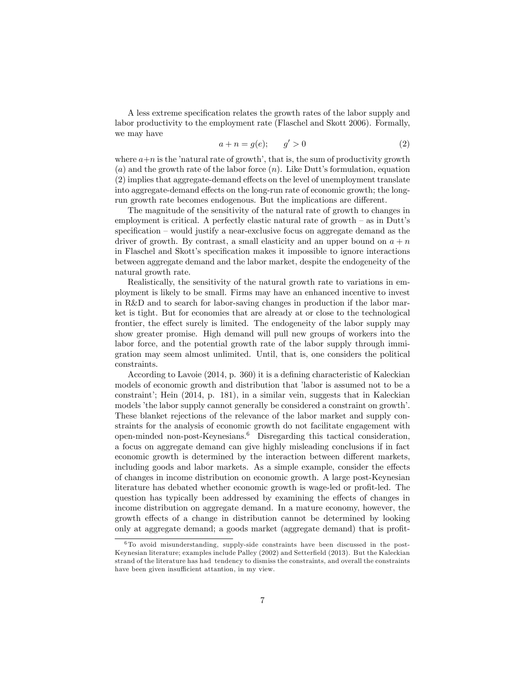A less extreme specification relates the growth rates of the labor supply and labor productivity to the employment rate (Flaschel and Skott 2006). Formally, we may have

$$
a + n = g(e); \qquad g' > 0 \tag{2}
$$

where  $a+n$  is the 'natural rate of growth', that is, the sum of productivity growth (a) and the growth rate of the labor force  $(n)$ . Like Dutt's formulation, equation  $(2)$  implies that aggregate-demand effects on the level of unemployment translate into aggregate-demand effects on the long-run rate of economic growth; the longrun growth rate becomes endogenous. But the implications are different.

The magnitude of the sensitivity of the natural rate of growth to changes in employment is critical. A perfectly elastic natural rate of growth  $-$  as in Dutt's specification  $\sim$  would justify a near-exclusive focus on aggregate demand as the driver of growth. By contrast, a small elasticity and an upper bound on  $a + n$ in Flaschel and Skott's specification makes it impossible to ignore interactions between aggregate demand and the labor market, despite the endogeneity of the natural growth rate.

Realistically, the sensitivity of the natural growth rate to variations in employment is likely to be small. Firms may have an enhanced incentive to invest in R&D and to search for labor-saving changes in production if the labor market is tight. But for economies that are already at or close to the technological frontier, the effect surely is limited. The endogeneity of the labor supply may show greater promise. High demand will pull new groups of workers into the labor force, and the potential growth rate of the labor supply through immigration may seem almost unlimited. Until, that is, one considers the political constraints.

According to Lavoie  $(2014, p. 360)$  it is a defining characteristic of Kaleckian models of economic growth and distribution that 'labor is assumed not to be a constraint'; Hein  $(2014, p. 181)$ , in a similar vein, suggests that in Kaleckian models 'the labor supply cannot generally be considered a constraint on growth'. These blanket rejections of the relevance of the labor market and supply constraints for the analysis of economic growth do not facilitate engagement with open-minded non-post-Keynesians. $6$  Disregarding this tactical consideration, a focus on aggregate demand can give highly misleading conclusions if in fact economic growth is determined by the interaction between different markets, including goods and labor markets. As a simple example, consider the effects of changes in income distribution on economic growth. A large post-Keynesian literature has debated whether economic growth is wage-led or profit-led. The question has typically been addressed by examining the effects of changes in income distribution on aggregate demand. In a mature economy, however, the growth effects of a change in distribution cannot be determined by looking only at aggregate demand; a goods market (aggregate demand) that is profit-

<sup>6</sup> To avoid misunderstanding, supply-side constraints have been discussed in the post-Keynesian literature; examples include Palley (2002) and Setterfield (2013). But the Kaleckian strand of the literature has had tendency to dismiss the constraints, and overall the constraints have been given insufficient attantion, in my view.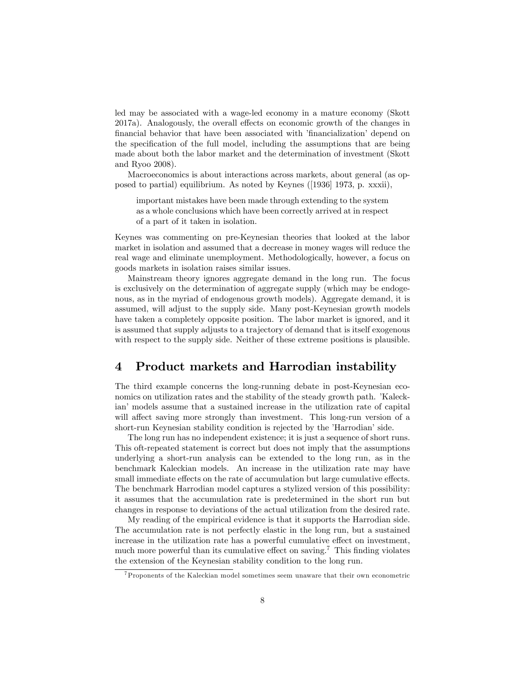led may be associated with a wage-led economy in a mature economy (Skott 2017a). Analogously, the overall effects on economic growth of the changes in financial behavior that have been associated with 'financialization' depend on the specification of the full model, including the assumptions that are being made about both the labor market and the determination of investment (Skott and Ryoo 2008).

Macroeconomics is about interactions across markets, about general (as opposed to partial) equilibrium. As noted by Keynes ([1936] 1973, p. xxxii),

important mistakes have been made through extending to the system as a whole conclusions which have been correctly arrived at in respect of a part of it taken in isolation.

Keynes was commenting on pre-Keynesian theories that looked at the labor market in isolation and assumed that a decrease in money wages will reduce the real wage and eliminate unemployment. Methodologically, however, a focus on goods markets in isolation raises similar issues.

Mainstream theory ignores aggregate demand in the long run. The focus is exclusively on the determination of aggregate supply (which may be endogenous, as in the myriad of endogenous growth models). Aggregate demand, it is assumed, will adjust to the supply side. Many post-Keynesian growth models have taken a completely opposite position. The labor market is ignored, and it is assumed that supply adjusts to a trajectory of demand that is itself exogenous with respect to the supply side. Neither of these extreme positions is plausible.

#### 4 Product markets and Harrodian instability

The third example concerns the long-running debate in post-Keynesian economics on utilization rates and the stability of the steady growth path. Kaleckian' models assume that a sustained increase in the utilization rate of capital will affect saving more strongly than investment. This long-run version of a short-run Keynesian stability condition is rejected by the 'Harrodian' side.

The long run has no independent existence; it is just a sequence of short runs. This oft-repeated statement is correct but does not imply that the assumptions underlying a short-run analysis can be extended to the long run, as in the benchmark Kaleckian models. An increase in the utilization rate may have small immediate effects on the rate of accumulation but large cumulative effects. The benchmark Harrodian model captures a stylized version of this possibility: it assumes that the accumulation rate is predetermined in the short run but changes in response to deviations of the actual utilization from the desired rate.

My reading of the empirical evidence is that it supports the Harrodian side. The accumulation rate is not perfectly elastic in the long run, but a sustained increase in the utilization rate has a powerful cumulative effect on investment, much more powerful than its cumulative effect on saving.<sup>7</sup> This finding violates the extension of the Keynesian stability condition to the long run.

<sup>7</sup>Proponents of the Kaleckian model sometimes seem unaware that their own econometric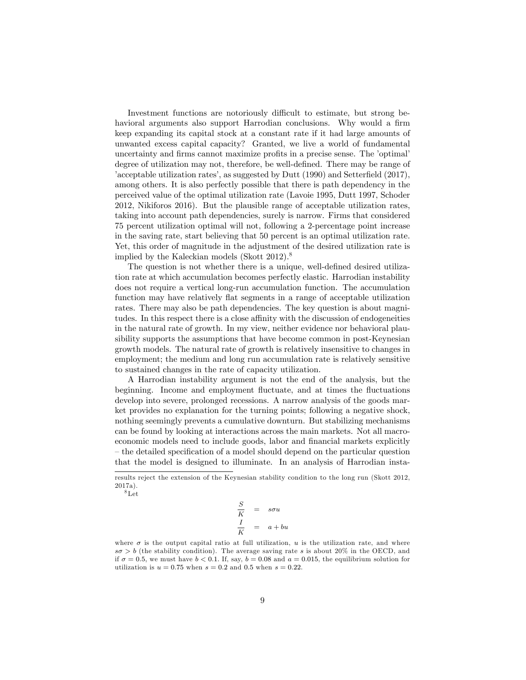Investment functions are notoriously difficult to estimate, but strong behavioral arguments also support Harrodian conclusions. Why would a firm keep expanding its capital stock at a constant rate if it had large amounts of unwanted excess capital capacity? Granted, we live a world of fundamental uncertainty and firms cannot maximize profits in a precise sense. The 'optimal' degree of utilization may not, therefore, be well-defined. There may be range of  $i$  acceptable utilization rates<sup> $\lambda$ </sup>, as suggested by Dutt (1990) and Setterfield (2017), among others. It is also perfectly possible that there is path dependency in the perceived value of the optimal utilization rate (Lavoie 1995, Dutt 1997, Schoder 2012, Nikiforos 2016). But the plausible range of acceptable utilization rates, taking into account path dependencies, surely is narrow. Firms that considered 75 percent utilization optimal will not, following a 2-percentage point increase in the saving rate, start believing that 50 percent is an optimal utilization rate. Yet, this order of magnitude in the adjustment of the desired utilization rate is implied by the Kaleckian models (Skott 2012).<sup>8</sup>

The question is not whether there is a unique, well-defined desired utilization rate at which accumulation becomes perfectly elastic. Harrodian instability does not require a vertical long-run accumulation function. The accumulation function may have relatively flat segments in a range of acceptable utilization rates. There may also be path dependencies. The key question is about magnitudes. In this respect there is a close affinity with the discussion of endogeneities in the natural rate of growth. In my view, neither evidence nor behavioral plausibility supports the assumptions that have become common in post-Keynesian growth models. The natural rate of growth is relatively insensitive to changes in employment; the medium and long run accumulation rate is relatively sensitive to sustained changes in the rate of capacity utilization.

A Harrodian instability argument is not the end of the analysis, but the beginning. Income and employment fluctuate, and at times the fluctuations develop into severe, prolonged recessions. A narrow analysis of the goods market provides no explanation for the turning points; following a negative shock, nothing seemingly prevents a cumulative downturn. But stabilizing mechanisms can be found by looking at interactions across the main markets. Not all macroeconomic models need to include goods, labor and financial markets explicitly – the detailed specification of a model should depend on the particular question that the model is designed to illuminate. In an analysis of Harrodian insta-

8Let

$$
\frac{S}{K} = s\sigma u
$$

$$
\frac{I}{K} = a + bu
$$

where  $\sigma$  is the output capital ratio at full utilization, u is the utilization rate, and where  $s\sigma > b$  (the stability condition). The average saving rate s is about 20% in the OECD, and if  $\sigma = 0.5$ , we must have  $b < 0.1$ . If, say,  $b = 0.08$  and  $a = 0.015$ , the equilibrium solution for utilization is  $u = 0.75$  when  $s = 0.2$  and 0.5 when  $s = 0.22$ .

results reject the extension of the Keynesian stability condition to the long run (Skott 2012, 2017a).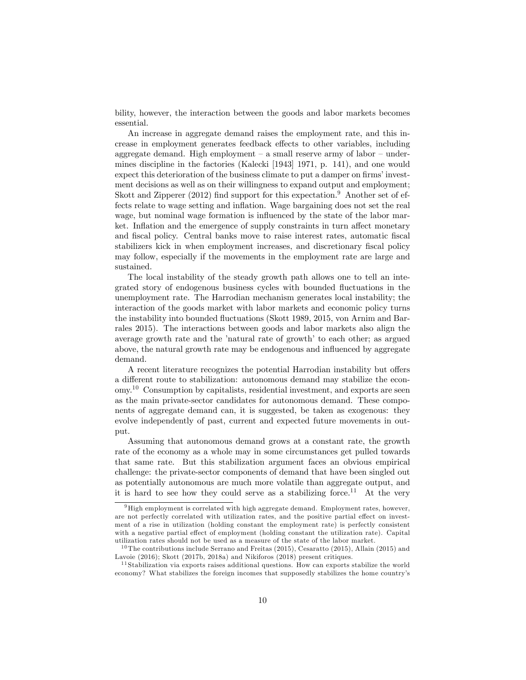bility, however, the interaction between the goods and labor markets becomes essential.

An increase in aggregate demand raises the employment rate, and this increase in employment generates feedback effects to other variables, including aggregate demand. High employment  $-$  a small reserve army of labor  $-$  undermines discipline in the factories (Kalecki [1943] 1971, p. 141), and one would expect this deterioration of the business climate to put a damper on firms' investment decisions as well as on their willingness to expand output and employment; Skott and Zipperer  $(2012)$  find support for this expectation.<sup>9</sup> Another set of effects relate to wage setting and inflation. Wage bargaining does not set the real wage, but nominal wage formation is influenced by the state of the labor market. Inflation and the emergence of supply constraints in turn affect monetary and fiscal policy. Central banks move to raise interest rates, automatic fiscal stabilizers kick in when employment increases, and discretionary fiscal policy may follow, especially if the movements in the employment rate are large and sustained.

The local instability of the steady growth path allows one to tell an integrated story of endogenous business cycles with bounded áuctuations in the unemployment rate. The Harrodian mechanism generates local instability; the interaction of the goods market with labor markets and economic policy turns the instability into bounded fluctuations (Skott 1989, 2015, von Arnim and Barrales 2015). The interactions between goods and labor markets also align the average growth rate and the 'natural rate of growth' to each other; as argued above, the natural growth rate may be endogenous and influenced by aggregate demand.

A recent literature recognizes the potential Harrodian instability but offers a different route to stabilization: autonomous demand may stabilize the economy.10 Consumption by capitalists, residential investment, and exports are seen as the main private-sector candidates for autonomous demand. These components of aggregate demand can, it is suggested, be taken as exogenous: they evolve independently of past, current and expected future movements in output.

Assuming that autonomous demand grows at a constant rate, the growth rate of the economy as a whole may in some circumstances get pulled towards that same rate. But this stabilization argument faces an obvious empirical challenge: the private-sector components of demand that have been singled out as potentially autonomous are much more volatile than aggregate output, and it is hard to see how they could serve as a stabilizing force.<sup>11</sup> At the very

<sup>9</sup>High employment is correlated with high aggregate demand. Employment rates, however, are not perfectly correlated with utilization rates, and the positive partial effect on investment of a rise in utilization (holding constant the employment rate) is perfectly consistent with a negative partial effect of employment (holding constant the utilization rate). Capital utilization rates should not be used as a measure of the state of the labor market.

<sup>&</sup>lt;sup>10</sup> The contributions include Serrano and Freitas  $(2015)$ , Cesaratto  $(2015)$ , Allain  $(2015)$  and Lavoie (2016); Skott (2017b, 2018a) and Nikiforos (2018) present critiques.

 $11$  Stabilization via exports raises additional questions. How can exports stabilize the world economy? What stabilizes the foreign incomes that supposedly stabilizes the home countryís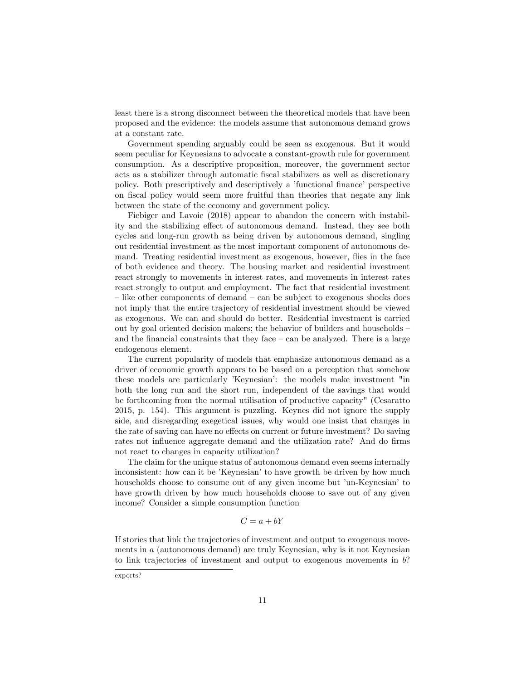least there is a strong disconnect between the theoretical models that have been proposed and the evidence: the models assume that autonomous demand grows at a constant rate.

Government spending arguably could be seen as exogenous. But it would seem peculiar for Keynesians to advocate a constant-growth rule for government consumption. As a descriptive proposition, moreover, the government sector acts as a stabilizer through automatic Öscal stabilizers as well as discretionary policy. Both prescriptively and descriptively a 'functional finance' perspective on Öscal policy would seem more fruitful than theories that negate any link between the state of the economy and government policy.

Fiebiger and Lavoie (2018) appear to abandon the concern with instability and the stabilizing effect of autonomous demand. Instead, they see both cycles and long-run growth as being driven by autonomous demand, singling out residential investment as the most important component of autonomous demand. Treating residential investment as exogenous, however, áies in the face of both evidence and theory. The housing market and residential investment react strongly to movements in interest rates, and movements in interest rates react strongly to output and employment. The fact that residential investment - like other components of demand - can be subject to exogenous shocks does not imply that the entire trajectory of residential investment should be viewed as exogenous. We can and should do better. Residential investment is carried out by goal oriented decision makers; the behavior of builders and households – and the financial constraints that they face  $-\text{ can be analyzed}$ . There is a large endogenous element.

The current popularity of models that emphasize autonomous demand as a driver of economic growth appears to be based on a perception that somehow these models are particularly *Keynesian*<sup>2</sup>: the models make investment "in both the long run and the short run, independent of the savings that would be forthcoming from the normal utilisation of productive capacity" (Cesaratto 2015, p. 154). This argument is puzzling. Keynes did not ignore the supply side, and disregarding exegetical issues, why would one insist that changes in the rate of saving can have no effects on current or future investment? Do saving rates not influence aggregate demand and the utilization rate? And do firms not react to changes in capacity utilization?

The claim for the unique status of autonomous demand even seems internally inconsistent: how can it be 'Keynesian' to have growth be driven by how much households choose to consume out of any given income but 'un-Keynesian' to have growth driven by how much households choose to save out of any given income? Consider a simple consumption function

$$
C = a + bY
$$

If stories that link the trajectories of investment and output to exogenous movements in a (autonomous demand) are truly Keynesian, why is it not Keynesian to link trajectories of investment and output to exogenous movements in b?

exports?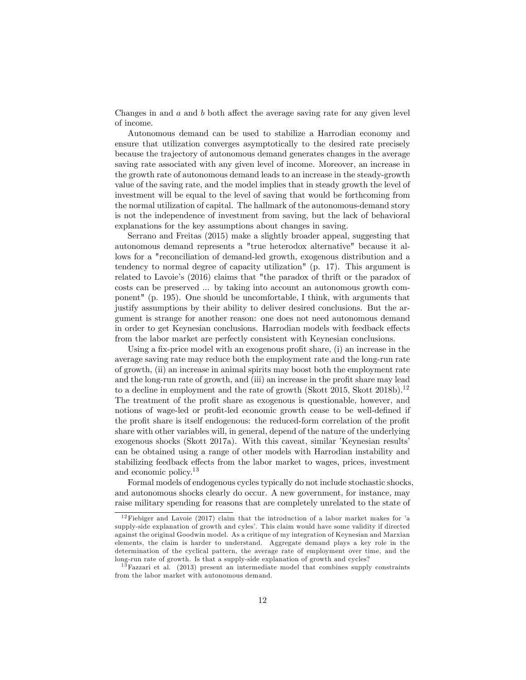Changes in and  $a$  and  $b$  both affect the average saving rate for any given level of income.

Autonomous demand can be used to stabilize a Harrodian economy and ensure that utilization converges asymptotically to the desired rate precisely because the trajectory of autonomous demand generates changes in the average saving rate associated with any given level of income. Moreover, an increase in the growth rate of autonomous demand leads to an increase in the steady-growth value of the saving rate, and the model implies that in steady growth the level of investment will be equal to the level of saving that would be forthcoming from the normal utilization of capital. The hallmark of the autonomous-demand story is not the independence of investment from saving, but the lack of behavioral explanations for the key assumptions about changes in saving.

Serrano and Freitas (2015) make a slightly broader appeal, suggesting that autonomous demand represents a "true heterodox alternative" because it allows for a "reconciliation of demand-led growth, exogenous distribution and a tendency to normal degree of capacity utilization" (p. 17). This argument is related to Lavoie's (2016) claims that "the paradox of thrift or the paradox of costs can be preserved ... by taking into account an autonomous growth component" (p. 195). One should be uncomfortable, I think, with arguments that justify assumptions by their ability to deliver desired conclusions. But the argument is strange for another reason: one does not need autonomous demand in order to get Keynesian conclusions. Harrodian models with feedback effects from the labor market are perfectly consistent with Keynesian conclusions.

Using a fix-price model with an exogenous profit share,  $(i)$  an increase in the average saving rate may reduce both the employment rate and the long-run rate of growth, (ii) an increase in animal spirits may boost both the employment rate and the long-run rate of growth, and (iii) an increase in the profit share may lead to a decline in employment and the rate of growth (Skott 2015, Skott 2018b).<sup>12</sup> The treatment of the profit share as exogenous is questionable, however, and notions of wage-led or profit-led economic growth cease to be well-defined if the profit share is itself endogenous: the reduced-form correlation of the profit share with other variables will, in general, depend of the nature of the underlying exogenous shocks (Skott 2017a). With this caveat, similar *Keynesian results* can be obtained using a range of other models with Harrodian instability and stabilizing feedback effects from the labor market to wages, prices, investment and economic policy.13

Formal models of endogenous cycles typically do not include stochastic shocks, and autonomous shocks clearly do occur. A new government, for instance, may raise military spending for reasons that are completely unrelated to the state of

 $12$ Fiebiger and Lavoie (2017) claim that the introduction of a labor market makes for 'a supply-side explanation of growth and cyles'. This claim would have some validity if directed against the original Goodwin model. As a critique of my integration of Keynesian and Marxian elements, the claim is harder to understand. Aggregate demand plays a key role in the determination of the cyclical pattern, the average rate of employment over time, and the long-run rate of growth. Is that a supply-side explanation of growth and cycles?

 $13$  Fazzari et al. (2013) present an intermediate model that combines supply constraints from the labor market with autonomous demand.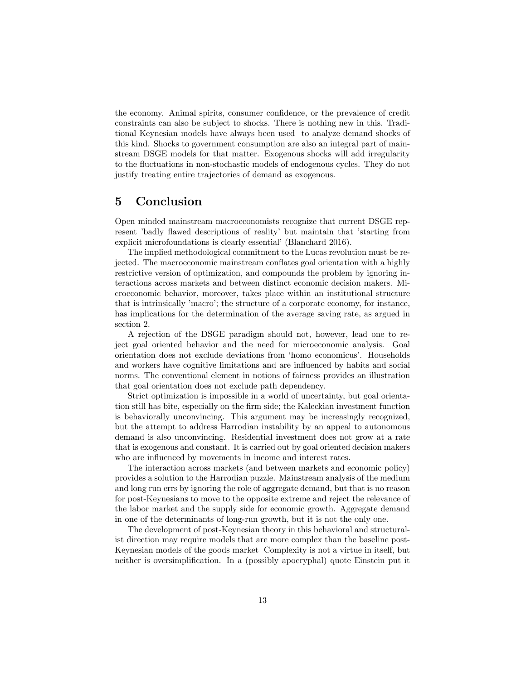the economy. Animal spirits, consumer confidence, or the prevalence of credit constraints can also be subject to shocks. There is nothing new in this. Traditional Keynesian models have always been used to analyze demand shocks of this kind. Shocks to government consumption are also an integral part of mainstream DSGE models for that matter. Exogenous shocks will add irregularity to the fluctuations in non-stochastic models of endogenous cycles. They do not justify treating entire trajectories of demand as exogenous.

#### 5 Conclusion

Open minded mainstream macroeconomists recognize that current DSGE represent 'badly flawed descriptions of reality' but maintain that 'starting from explicit microfoundations is clearly essential' (Blanchard 2016).

The implied methodological commitment to the Lucas revolution must be rejected. The macroeconomic mainstream conflates goal orientation with a highly restrictive version of optimization, and compounds the problem by ignoring interactions across markets and between distinct economic decision makers. Microeconomic behavior, moreover, takes place within an institutional structure that is intrinsically ímacroí; the structure of a corporate economy, for instance, has implications for the determination of the average saving rate, as argued in section 2.

A rejection of the DSGE paradigm should not, however, lead one to reject goal oriented behavior and the need for microeconomic analysis. Goal orientation does not exclude deviations from ëhomo economicusí. Households and workers have cognitive limitations and are influenced by habits and social norms. The conventional element in notions of fairness provides an illustration that goal orientation does not exclude path dependency.

Strict optimization is impossible in a world of uncertainty, but goal orientation still has bite, especially on the firm side; the Kaleckian investment function is behaviorally unconvincing. This argument may be increasingly recognized, but the attempt to address Harrodian instability by an appeal to autonomous demand is also unconvincing. Residential investment does not grow at a rate that is exogenous and constant. It is carried out by goal oriented decision makers who are influenced by movements in income and interest rates.

The interaction across markets (and between markets and economic policy) provides a solution to the Harrodian puzzle. Mainstream analysis of the medium and long run errs by ignoring the role of aggregate demand, but that is no reason for post-Keynesians to move to the opposite extreme and reject the relevance of the labor market and the supply side for economic growth. Aggregate demand in one of the determinants of long-run growth, but it is not the only one.

The development of post-Keynesian theory in this behavioral and structuralist direction may require models that are more complex than the baseline post-Keynesian models of the goods market Complexity is not a virtue in itself, but neither is oversimplification. In a (possibly apocryphal) quote Einstein put it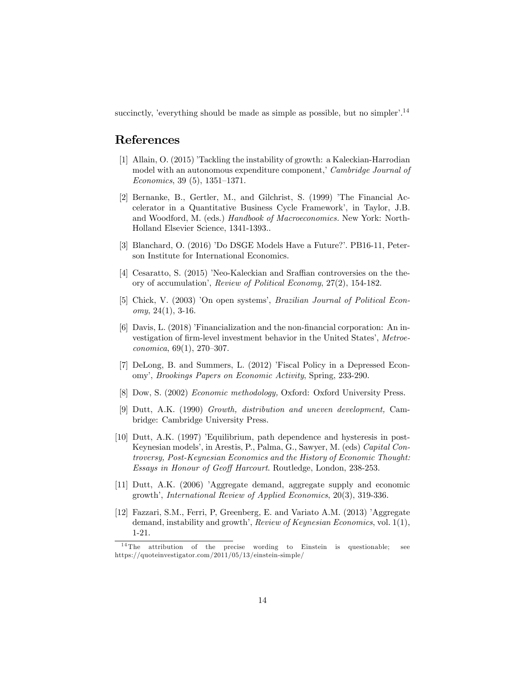succinctly, 'everything should be made as simple as possible, but no simpler'.<sup>14</sup>

#### References

- [1] Allain, O. (2015) Tackling the instability of growth: a Kaleckian-Harrodian model with an autonomous expenditure component,' Cambridge Journal of Economics, 39  $(5)$ , 1351–1371.
- [2] Bernanke, B., Gertler, M., and Gilchrist, S. (1999) 'The Financial Accelerator in a Quantitative Business Cycle Framework', in Taylor, J.B. and Woodford, M. (eds.) Handbook of Macroeconomics. New York: North-Holland Elsevier Science, 1341-1393..
- [3] Blanchard, O. (2016) 'Do DSGE Models Have a Future?'. PB16-11, Peterson Institute for International Economics.
- [4] Cesaratto, S. (2015) 'Neo-Kaleckian and Sraffian controversies on the theory of accumulationí, Review of Political Economy, 27(2), 154-182.
- [5] Chick, V. (2003) 'On open systems', *Brazilian Journal of Political Econ*omy, 24(1), 3-16.
- [6] Davis, L. (2018) íFinancialization and the non-Önancial corporation: An investigation of firm-level investment behavior in the United States', Metroe $conomica, 69(1), 270-307.$
- [7] DeLong, B. and Summers, L. (2012) 'Fiscal Policy in a Depressed Economyí, Brookings Papers on Economic Activity, Spring, 233-290.
- [8] Dow, S. (2002) Economic methodology, Oxford: Oxford University Press.
- [9] Dutt, A.K. (1990) Growth, distribution and uneven development, Cambridge: Cambridge University Press.
- [10] Dutt, A.K. (1997) íEquilibrium, path dependence and hysteresis in post-Keynesian models', in Arestis, P., Palma, G., Sawyer, M. (eds) Capital Controversy, Post-Keynesian Economics and the History of Economic Thought: Essays in Honour of Geoff Harcourt. Routledge, London, 238-253.
- [11] Dutt, A.K. (2006) íAggregate demand, aggregate supply and economic growth', International Review of Applied Economics, 20(3), 319-336.
- [12] Fazzari, S.M., Ferri, P, Greenberg, E. and Variato A.M. (2013) 'Aggregate demand, instability and growth', Review of Keynesian Economics, vol.  $1(1)$ , 1-21.

<sup>&</sup>lt;sup>14</sup> The attribution of the precise wording to Einstein is questionable; see https://quoteinvestigator.com/2011/05/13/einstein-simple/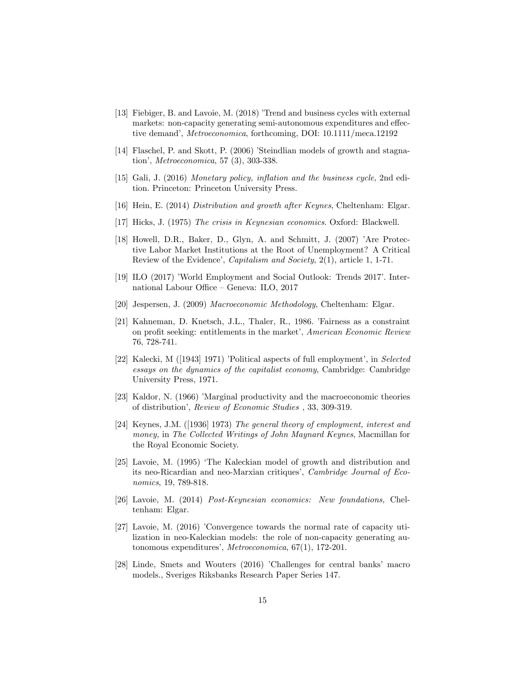- [13] Fiebiger, B. and Lavoie, M. (2018) Trend and business cycles with external markets: non-capacity generating semi-autonomous expenditures and effective demand', *Metroeconomica*, forthcoming, DOI: 10.1111/meca.12192
- [14] Flaschel, P. and Skott, P. (2006) 'Steindlian models of growth and stagnation', *Metroeconomica*, 57 $(3)$ , 303-338.
- [15] Gali, J. (2016) Monetary policy, inflation and the business cycle, 2nd edition. Princeton: Princeton University Press.
- [16] Hein, E. (2014) Distribution and growth after Keynes, Cheltenham: Elgar.
- [17] Hicks, J. (1975) The crisis in Keynesian economics. Oxford: Blackwell.
- [18] Howell, D.R., Baker, D., Glyn, A. and Schmitt, J. (2007) 'Are Protective Labor Market Institutions at the Root of Unemployment? A Critical Review of the Evidence', *Capitalism and Society*, 2(1), article 1, 1-71.
- [19] ILO (2017) 'World Employment and Social Outlook: Trends 2017'. International Labour Office – Geneva: ILO,  $2017$
- [20] Jespersen, J. (2009) Macroeconomic Methodology, Cheltenham: Elgar.
- [21] Kahneman, D. Knetsch, J.L., Thaler, R., 1986. *Fairness* as a constraint on profit seeking: entitlements in the market', American Economic Review 76, 728-741.
- [22] Kalecki, M  $($ [1943] 1971) 'Political aspects of full employment', in Selected essays on the dynamics of the capitalist economy, Cambridge: Cambridge University Press, 1971.
- [23] Kaldor, N. (1966) 'Marginal productivity and the macroeconomic theories of distributioní, Review of Economic Studies , 33, 309-319.
- [24] Keynes, J.M. ([1936] 1973) The general theory of employment, interest and money, in The Collected Writings of John Maynard Keynes, Macmillan for the Royal Economic Society.
- [25] Lavoie, M. (1995) ëThe Kaleckian model of growth and distribution and its neo-Ricardian and neo-Marxian critiques', Cambridge Journal of Economics, 19, 789-818.
- [26] Lavoie, M. (2014) Post-Keynesian economics: New foundations, Cheltenham: Elgar.
- [27] Lavoie, M. (2016) íConvergence towards the normal rate of capacity utilization in neo-Kaleckian models: the role of non-capacity generating autonomous expenditures', Metroeconomica,  $67(1)$ , 172-201.
- [28] Linde, Smets and Wouters (2016) 'Challenges for central banks' macro models., Sveriges Riksbanks Research Paper Series 147.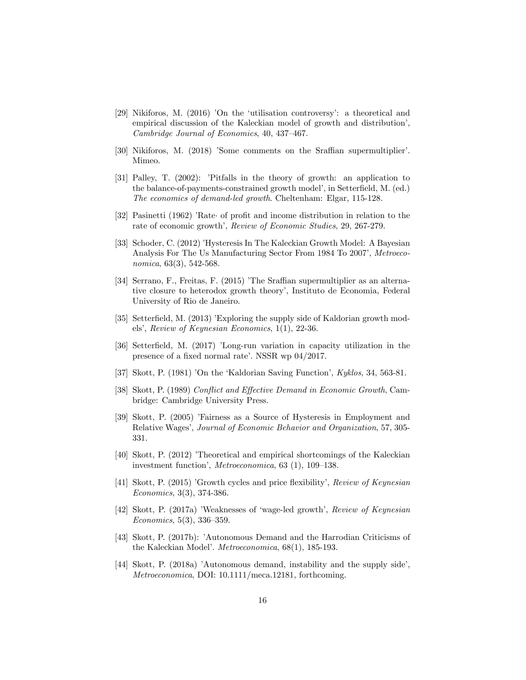- [29] Nikiforos, M.  $(2016)$  'On the 'utilisation controversy': a theoretical and empirical discussion of the Kaleckian model of growth and distribution', Cambridge Journal of Economics,  $40, 437-467$ .
- [30] Nikiforos, M. (2018) 'Some comments on the Sraffian supermultiplier'. Mimeo.
- [31] Palley, T. (2002): 'Pitfalls in the theory of growth: an application to the balance-of-payments-constrained growth model', in Setterfield, M. (ed.) The economics of demand-led growth. Cheltenham: Elgar, 115-128.
- [32] Pasinetti (1962) 'Rate of profit and income distribution in relation to the rate of economic growth', Review of Economic Studies, 29, 267-279.
- [33] Schoder, C. (2012) íHysteresis In The Kaleckian Growth Model: A Bayesian Analysis For The Us Manufacturing Sector From 1984 To 2007í, Metroeconomica, 63(3), 542-568.
- [34] Serrano, F., Freitas, F. (2015) The Sraffian supermultiplier as an alternative closure to heterodox growth theory', Instituto de Economia, Federal University of Rio de Janeiro.
- [35] Setterfield, M. (2013) *Exploring the supply side of Kaldorian growth mod*els', Review of Keynesian Economics,  $1(1)$ ,  $22-36$ .
- [36] Setterfield, M. (2017) *Long-run variation* in capacity utilization in the presence of a fixed normal rate<sup> $\cdot$ </sup>. NSSR wp 04/2017.
- [37] Skott, P. (1981) 'On the 'Kaldorian Saving Function', Kyklos, 34, 563-81.
- [38] Skott, P. (1989) Conflict and Effective Demand in Economic Growth, Cambridge: Cambridge University Press.
- [39] Skott, P. (2005) íFairness as a Source of Hysteresis in Employment and Relative Wages', Journal of Economic Behavior and Organization, 57, 305-331.
- [40] Skott, P. (2012) íTheoretical and empirical shortcomings of the Kaleckian investment function', *Metroeconomica*,  $63$  (1), 109–138.
- [41] Skott, P. (2015) *Growth cycles and price flexibility', Review of Keynesian* Economics, 3(3), 374-386.
- [42] Skott, P. (2017a) 'Weaknesses of 'wage-led growth', Review of Keynesian  $Economics, 5(3), 336-359.$
- [43] Skott, P. (2017b): 'Autonomous Demand and the Harrodian Criticisms of the Kaleckian Model'. *Metroeconomica*, 68(1), 185-193.
- [44] Skott, P. (2018a) 'Autonomous demand, instability and the supply side', Metroeconomica, DOI: 10.1111/meca.12181, forthcoming.